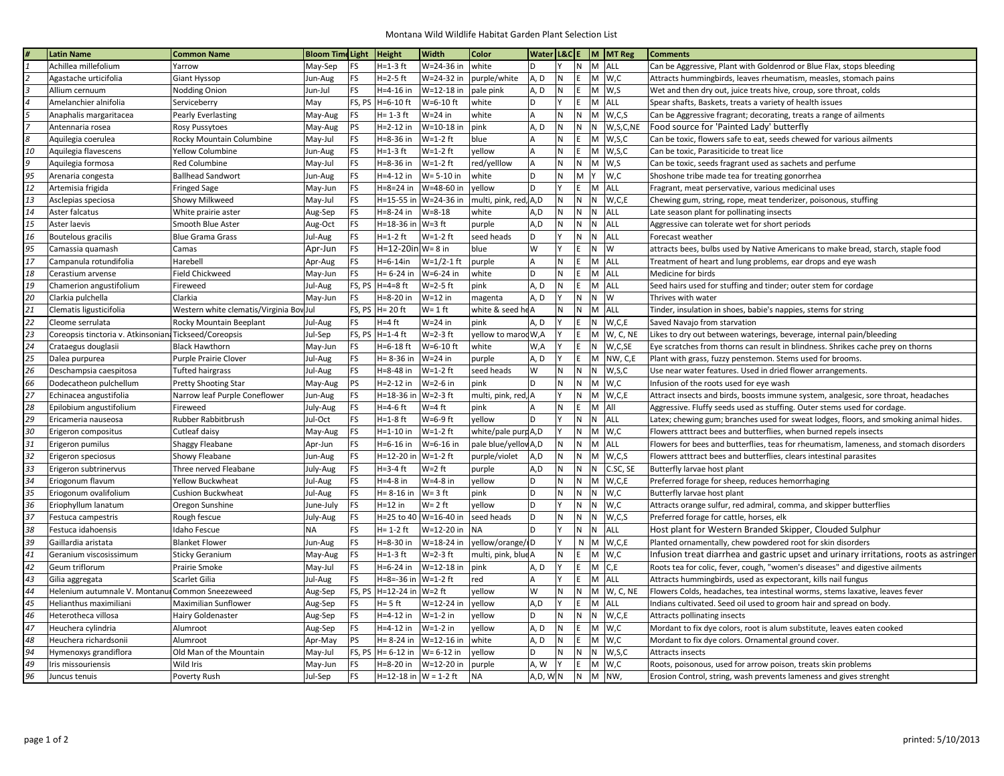## Montana Wild Wildlife Habitat Garden Plant Selection List

|                | <b>Latin Name</b>                                      | <b>Common Name</b>                      | <b>Bloom Time Light</b> |           | <b>Height</b>              | <b>Width</b>            | Color                 |            |              |              |       | Water L&C E M MT Reg | <b>Comments</b>                                                                        |
|----------------|--------------------------------------------------------|-----------------------------------------|-------------------------|-----------|----------------------------|-------------------------|-----------------------|------------|--------------|--------------|-------|----------------------|----------------------------------------------------------------------------------------|
|                | Achillea millefolium                                   | Yarrow                                  | May-Sep                 | <b>FS</b> | H=1-3 ft                   | W=24-36 in              | white                 | l D        | Y            | IN.          |       | M ALL                | Can be Aggressive, Plant with Goldenrod or Blue Flax, stops bleeding                   |
| 2              | Agastache urticifolia                                  | Giant Hyssop                            | Jun-Aug                 | FS        | H=2-5 ft                   | W=24-32 in              | purple/white          | A, D       | $\mathsf{N}$ | E            |       | $M$ W,C              | Attracts hummingbirds, leaves rheumatism, measles, stomach pains                       |
| 3              | Allium cernuum                                         | Nodding Onion                           | Jun-Jul                 | FS        | H=4-16 in                  | W=12-18 in              | pale pink             | A, D       | N            | E            |       | $M$ W <sub>.</sub> S | Wet and then dry out, juice treats hive, croup, sore throat, colds                     |
| $\overline{4}$ | Amelanchier alnifolia                                  | Serviceberry                            | May                     | FS, PS    | $H = 6 - 10$ ft            | $W=6-10$ ft             | white                 | ١D         | v            | E            |       | M ALL                | Spear shafts, Baskets, treats a variety of health issues                               |
| 5              | Anaphalis margaritacea                                 | <b>Pearly Everlasting</b>               | May-Aug                 | FS        | $H = 1-3$ ft               | $W = 24$ in             | white                 | lА         | N            | N.           |       | $M$ W,C,S            | Can be Aggressive fragrant; decorating, treats a range of ailments                     |
| $\overline{7}$ | Antennaria rosea                                       | Rosy Pussytoes                          | May-Aug                 | PS        | H=2-12 in                  | W=10-18 in              | pink                  | A.D        | N            | N            | N     | W,S,C,NE             | Food source for 'Painted Lady' butterfly                                               |
| 8              | Aquilegia coerulea                                     | Rocky Mountain Columbine                | May-Jul                 | FS        | H=8-36 in                  | $W=1-2$ ft              | blue                  | l A        | N            | E            | M     | W,S,C                | Can be toxic, flowers safe to eat, seeds chewed for various ailments                   |
| 10             | Aquilegia flavescens                                   | Yellow Columbine                        | Jun-Aug                 | <b>FS</b> | $H=1-3$ ft                 | $W=1-2$ ft              | yellow                | ١A         | N            | E            |       | $M$ W, S, C          | Can be toxic, Parasiticide to treat lice                                               |
| 9              | Aquilegia formosa                                      | <b>Red Columbine</b>                    | May-Jul                 | FS        | H=8-36 in                  | $W=1-2$ ft              | red/yelllow           | A          | N            | $\mathsf{N}$ |       | $M$ W,S              | Can be toxic, seeds fragrant used as sachets and perfume                               |
| 95             | Arenaria congesta                                      | <b>Ballhead Sandwort</b>                | Jun-Aug                 | FS        | H=4-12 in                  | W= 5-10 in              | white                 | ١D         | N            | M            | İΥ.   | W,C                  | Shoshone tribe made tea for treating gonorrhea                                         |
| 12             | Artemisia frigida                                      | <b>Fringed Sage</b>                     | May-Jun                 | FS        | H=8=24 in                  | W=48-60 in              | vellow                | ١D         |              | E            |       | M ALL                | Fragrant, meat perservative, various medicinal uses                                    |
| 13             | Asclepias speciosa                                     | Showy Milkweed                          | May-Jul                 | FS        | H=15-55 in                 | W=24-36 in              | multi, pink, red, A,D |            | ${\sf N}$    | N            |       | N W,C,E              | Chewing gum, string, rope, meat tenderizer, poisonous, stuffing                        |
| 14             | Aster falcatus                                         | White prairie aster                     | Aug-Sep                 | FS        | H=8-24 in                  | $W = 8 - 18$            | white                 | A.D        | N            | N            | N     | <b>ALL</b>           | Late season plant for pollinating insects                                              |
| 15             |                                                        |                                         |                         | FS        | H=18-36 in W=3 ft          |                         |                       | A,D        | N            | N            |       | N ALL                |                                                                                        |
| 16             | Aster laevis                                           | Smooth Blue Aster                       | Aug-Oct                 | <b>FS</b> | $H = 1 - 2$ ft             | $W=1-2$ ft              | purple                | ١D         | Y            | N            |       | N ALL                | Aggressive can tolerate wet for short periods<br>Forecast weather                      |
|                | Boutelous gracilis                                     | <b>Blue Grama Grass</b>                 | Jul-Aug                 |           |                            |                         | seed heads            |            |              |              |       |                      |                                                                                        |
| 95             | Camassia quamash                                       | Camas                                   | Apr-Jun                 | FS        | $H = 12 - 20$ in   W= 8 in |                         | blue                  | lw         | Y            | E            | N W   |                      | attracts bees, bulbs used by Native Americans to make bread, starch, staple food       |
| 17             | Campanula rotundifolia                                 | Harebell                                | Apr-Aug                 | FS        | H=6-14in                   | $W = 1/2 - 1$ ft        | purple                | A          | N            | E            |       | M ALL                | Treatment of heart and lung problems, ear drops and eye wash                           |
| 18             | Cerastium arvense                                      | Field Chickweed                         | May-Jun                 | FS        | H= 6-24 in                 | W=6-24 in               | white                 | ١D         | N            | E            | M ALL |                      | Medicine for birds                                                                     |
| 19             | Chamerion angustifolium                                | Fireweed                                | Jul-Aug                 | FS, PS    | $H=4=8$ ft                 | $W = 2 - 5$ ft          | pink                  | A.D        | N            | E            | M ALL |                      | Seed hairs used for stuffing and tinder; outer stem for cordage                        |
| 20             | Clarkia pulchella                                      | Clarkia                                 | May-Jun                 | FS        | H=8-20 in                  | $W=12$ in               | magenta               | A, D       | v            | ${\sf N}$    | N     | W                    | Thrives with water                                                                     |
| 21             | Clematis ligusticifolia                                | Western white clematis/Virginia Boy Jul |                         |           | FS, PS $H = 20$ ft         | $W = 1$ ft              | white & seed he A     |            | N            | N            |       | M ALL                | Tinder, insulation in shoes, babie's nappies, stems for string                         |
| 22             | Cleome serrulata                                       | <b>Rocky Mountain Beeplant</b>          | Jul-Aug                 | FS        | $H = 4 ft$                 | $W = 24$ in             | pink                  | A, D       | Υ            | E            | N.    | W,C,E                | Saved Navajo from starvation                                                           |
| 23             | Coreopsis tinctoria v. Atkinsonian: Tickseed/Coreopsis |                                         | Jul-Sep                 |           | FS, PS H=1-4 ft            | $W=2-3$ ft              | yellow to marod W,A   |            |              | E            |       | M W, C, NE           | Likes to dry out between waterings, beverage, internal pain/bleeding                   |
| 24             | Crataegus douglasii                                    | <b>Black Hawthorn</b>                   | May-Jun                 | FS        | H=6-18 ft                  | $W=6-10$ ft             | white                 | W,A        |              | E            | N     | W,C,SE               | Eye scratches from thorns can result in blindness. Shrikes cache prey on thorns        |
| 25             | Dalea purpurea                                         | Purple Prairie Clover                   | Jul-Aug                 | FS        | H= 8-36 in                 | $W=24$ in               | purple                | A.D        |              | E            |       | M NW, C,E            | Plant with grass, fuzzy penstemon. Stems used for brooms.                              |
| 26             | Deschampsia caespitosa                                 | Tufted hairgrass                        | Jul-Aug                 | FS        | H=8-48 in                  | $W=1-2$ ft              | seed heads            | lw         | N            | N.           | N     | W,S,C                | Use near water features. Used in dried flower arrangements.                            |
| 66             | Dodecatheon pulchellum                                 | Pretty Shooting Star                    | May-Aug                 | PS        | H=2-12 in                  | W=2-6 in                | pink                  | ١D         | $\mathsf{N}$ | $\mathsf{N}$ |       | $M$ W,C              | Infusion of the roots used for eye wash                                                |
| 27             | Echinacea angustifolia                                 | Narrow leaf Purple Coneflower           | Jun-Aug                 | FS        | H=18-36 in                 | $W=2-3$ ft              | multi, pink, red, A   |            | Y            | N            |       | M W,C,E              | Attract insects and birds, boosts immune system, analgesic, sore throat, headaches     |
| 28             | Epilobium angustifolium                                | Fireweed                                | July-Aug                | FS        | $H = 4-6$ ft               | $W = 4$ ft              | pink                  | ١A         | N            | E            | M All |                      | Aggressive. Fluffy seeds used as stuffing. Outer stems used for cordage.               |
| 29             | Ericameria nauseosa                                    | Rubber Rabbitbrush                      | Jul-Oct                 | FS        | $H=1-8$ ft                 | $W=6-9$ ft              | vellow                | ١D         | Y            | $\mathsf{N}$ |       | N ALL                | Latex; chewing gum; branches used for sweat lodges, floors, and smoking animal hides.  |
| 30             | Erigeron compositus                                    | Cutleaf daisy                           | May-Aug                 | FS        | H=1-10 in                  | $W=1-2$ ft              | white/pale purd A,D   |            |              | $\mathsf{N}$ |       | $M$ W,C              | Flowers atttract bees and butterflies, when burned repels insects                      |
| 31             | Erigeron pumilus                                       | Shaggy Fleabane                         | Apr-Jun                 | FS        | H=6-16 in                  | W=6-16 in               | pale blue/yellow A,D  |            | N            | ${\sf N}$    |       | M ALL                | Flowers for bees and butterflies, teas for rheumatism, lameness, and stomach disorders |
| 32             | Erigeron speciosus                                     | Showy Fleabane                          | Jun-Aug                 | FS        | H=12-20 in                 | $W=1-2$ ft              | purple/violet         | A.D        | N            | IN.          |       | $M$ W,C,S            | Flowers atttract bees and butterflies, clears intestinal parasites                     |
| 33             | Erigeron subtrinervus                                  | Three nerved Fleabane                   | July-Aug                | FS        | H=3-4 ft                   | $W = 2$ ft              | purple                | A,D        | N            | N            | N     | C.SC, SE             | Butterfly larvae host plant                                                            |
| 34             | Eriogonum flavum                                       | Yellow Buckwheat                        | Jul-Aug                 | FS        | H=4-8 in                   | W=4-8 in                | yellow                | ١D         | N            | N.           |       | M W,C,E              | Preferred forage for sheep, reduces hemorrhaging                                       |
| 35             | Eriogonum ovalifolium                                  | Cushion Buckwheat                       | Jul-Aug                 | FS        | $H = 8 - 16$ in            | $W = 3$ ft              | pink                  | ١D         | N            | N            | N     | W, C                 | Butterfly larvae host plant                                                            |
| 36             | Eriophyllum lanatum                                    | Oregon Sunshine                         | June-July               | FS        | H=12 in                    | W= 2 ft                 | yellow                | ١D         | Y            | N            | N     | W, C                 | Attracts orange sulfur, red admiral, comma, and skipper butterflies                    |
| 37             | Festuca campestris                                     | Rough fescue                            | July-Aug                | FS        |                            | H=25 to 40   W=16-40 in | seed heads            | ١D         | N            | $\mathsf{N}$ | N     | W,C,S                | Preferred forage for cattle, horses, elk                                               |
| 38             | Festuca idahoensis                                     | Idaho Fescue                            | <b>NA</b>               | FS        | $H = 1-2$ ft               | W=12-20 in              | <b>NA</b>             | ١D         |              | $\mathsf{N}$ | N     | ALL                  | Host plant for Western Branded Skipper, Clouded Sulphur                                |
| 39             | Gaillardia aristata                                    | <b>Blanket Flower</b>                   | Jun-Aug                 | FS        | H=8-30 in                  | W=18-24 in              | yellow/orange/ID      |            |              | N            |       | $M$ W,C,E            | Planted ornamentally, chew powdered root for skin disorders                            |
| 41             | Geranium viscosissimum                                 | <b>Sticky Geranium</b>                  | May-Aug                 | FS        | H=1-3 ft                   | $W=2-3$ ft              | multi, pink, blue A   |            | N            | E            |       | $M$ W,C              | Infusion treat diarrhea and gastric upset and urinary irritations, roots as astringer  |
| 42             | Geum triflorum                                         | Prairie Smoke                           | May-Jul                 | FS        | H=6-24 in                  | W=12-18 in              | pink                  | A, D       |              | E            |       | M C.E                | Roots tea for colic, fever, cough, "women's diseases" and digestive ailments           |
| 43             | Gilia aggregata                                        | Scarlet Gilia                           | Jul-Aug                 | FS        | H=8=-36 in                 | $W=1-2$ ft              | red                   | ΙA         |              | E            |       | M ALL                | Attracts hummingbirds, used as expectorant, kills nail fungus                          |
| 44             | Helenium autumnale V. Montanul Common Sneezeweed       |                                         | Aug-Sep                 | FS, PS    | H=12-24 in  W=2 ft         |                         | yellow                | lw         | $\mathsf{N}$ | N            |       | M W, C, NE           | Flowers Colds, headaches, tea intestinal worms, stems laxative, leaves fever           |
| 45             | Helianthus maximiliani                                 | Maximilian Sunflower                    | Aug-Sep                 | FS        | H= 5 ft                    | W=12-24 in              | yellow                | A,D        | Y            | E            |       | M ALL                | Indians cultivated. Seed oil used to groom hair and spread on body.                    |
| 46             | Heterotheca villosa                                    |                                         |                         | FS        | H=4-12 in                  | $W=1-2$ in              | vellow                | l D        | $\mathsf{N}$ | N.           | N     | W,C,E                | Attracts pollinating insects                                                           |
| 47             | Heuchera cylindria                                     | Hairy Goldenaster                       | Aug-Sep                 | <b>FS</b> | H=4-12 in                  | W=1-2 in                | vellow                | A, D       | N            | E            |       | $M$ W,C              |                                                                                        |
|                |                                                        | Alumroot                                | Aug-Sep                 | PS        | $H = 8 - 24$ in            | W=12-16 in              |                       |            | N            | E            |       |                      | Mordant to fix dye colors, root is alum substitute, leaves eaten cooked                |
| 48             | Heuchera richardsonii                                  | Alumroot                                | Apr-May                 |           |                            |                         | white                 | A, D<br>١D | N            |              |       | $M$ W,C              | Mordant to fix dye colors. Ornamental ground cover.                                    |
| 94             | Hymenoxys grandiflora                                  | Old Man of the Mountain                 | May-Jul                 |           | FS, PS $ H = 6-12$ in      | W= 6-12 in              | yellow                |            |              | N            |       | N W,S,C              | Attracts insects                                                                       |
| 49             | Iris missouriensis                                     | Wild Iris                               | May-Jun                 | FS        | H=8-20 in                  | W=12-20 in              | purple                | A. W       |              | E            |       | $M$ W,C              | Roots, poisonous, used for arrow poison, treats skin problems                          |
| 96             | Juncus tenuis                                          | Poverty Rush                            | Jul-Sep                 | FS        | H=12-18 in $W = 1-2$ ft    |                         | <b>NA</b>             | A,D, WN    |              | N.           |       | M NW,                | Erosion Control, string, wash prevents lameness and gives strenght                     |